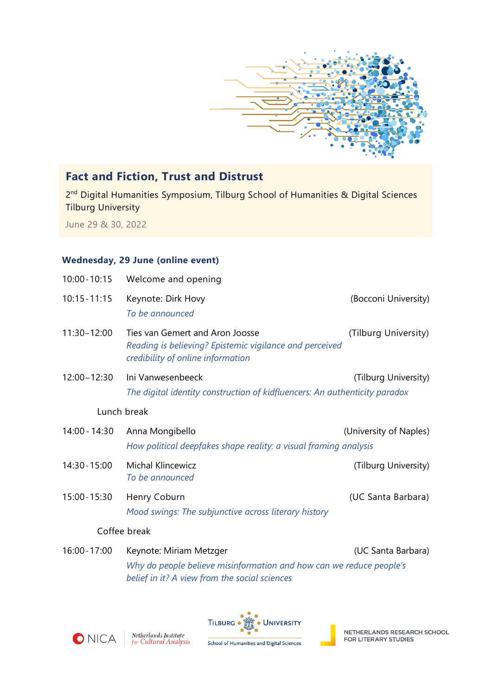

## **Fact and Fiction, Trust and Distrust**

2<sup>nd</sup> Digital Humanities Symposium, Tilburg School of Humanities & Digital Sciences Tilburg University

June 29 & 30, 2022

## **Wednesday, 29 June (online event)**

| $10:00 - 10:15$ | Welcome and opening                                                                                                             |                        |  |  |
|-----------------|---------------------------------------------------------------------------------------------------------------------------------|------------------------|--|--|
| $10:15 - 11:15$ | Keynote: Dirk Hovy<br>To be announced                                                                                           | (Bocconi University)   |  |  |
| 11:30-12:00     | Ties van Gemert and Aron Joosse<br>Reading is believing? Epistemic vigilance and perceived<br>credibility of online information | (Tilburg University)   |  |  |
| 12:00-12:30     | Ini Vanwesenbeeck<br>The digital identity construction of kidfluencers: An authenticity paradox                                 | (Tilburg University)   |  |  |
| Lunch break     |                                                                                                                                 |                        |  |  |
| 14:00 - 14:30   | Anna Mongibello<br>How political deepfakes shape reality: a visual framing analysis                                             | (University of Naples) |  |  |
| 14:30 - 15:00   | <b>Michal Klincewicz</b><br>To be announced                                                                                     | (Tilburg University)   |  |  |
| 15:00 - 15:30   | Henry Coburn<br>Mood swings: The subjunctive across literary history                                                            | (UC Santa Barbara)     |  |  |
|                 | Coffee break                                                                                                                    |                        |  |  |
| 16:00 - 17:00   | Keynote: Miriam Metzger                                                                                                         | (UC Santa Barbara)     |  |  |
|                 |                                                                                                                                 |                        |  |  |

*Why do people believe misinformation and how can we reduce people's belief in it? A view from the social sciences*



**Netherlands Institute**<br>for Cultural Analysis





NETHERLANDS RESEARCH SCHOOL FOR LITERARY STUDIES